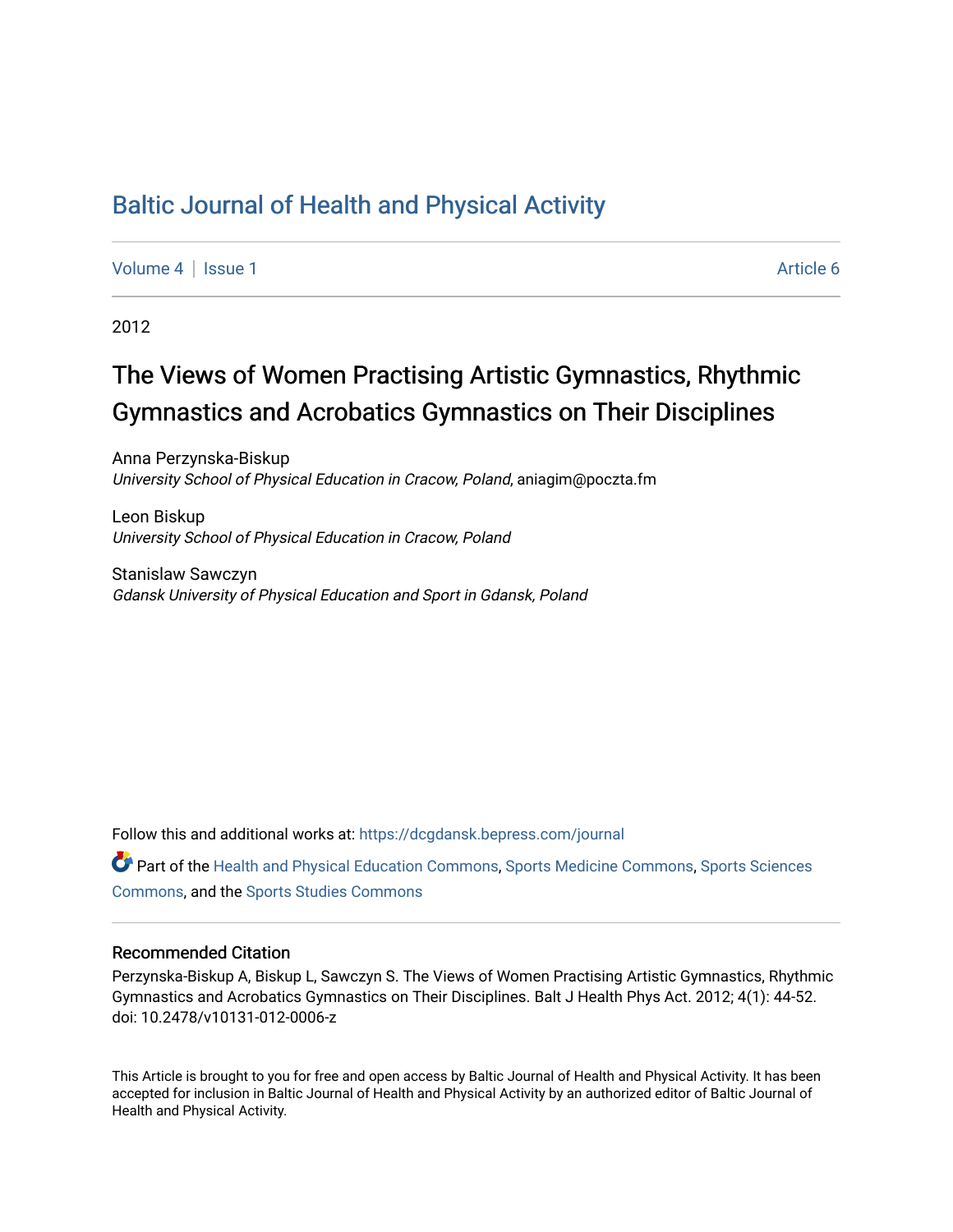## [Baltic Journal of Health and Physical Activity](https://dcgdansk.bepress.com/journal)

[Volume 4](https://dcgdansk.bepress.com/journal/vol4) | [Issue 1](https://dcgdansk.bepress.com/journal/vol4/iss1) Article 6

2012

# The Views of Women Practising Artistic Gymnastics, Rhythmic Gymnastics and Acrobatics Gymnastics on Their Disciplines

Anna Perzynska-Biskup University School of Physical Education in Cracow, Poland, aniagim@poczta.fm

Leon Biskup University School of Physical Education in Cracow, Poland

Stanislaw Sawczyn Gdansk University of Physical Education and Sport in Gdansk, Poland

Follow this and additional works at: [https://dcgdansk.bepress.com/journal](https://dcgdansk.bepress.com/journal?utm_source=dcgdansk.bepress.com%2Fjournal%2Fvol4%2Fiss1%2F6&utm_medium=PDF&utm_campaign=PDFCoverPages)

Part of the [Health and Physical Education Commons](http://network.bepress.com/hgg/discipline/1327?utm_source=dcgdansk.bepress.com%2Fjournal%2Fvol4%2Fiss1%2F6&utm_medium=PDF&utm_campaign=PDFCoverPages), [Sports Medicine Commons,](http://network.bepress.com/hgg/discipline/1331?utm_source=dcgdansk.bepress.com%2Fjournal%2Fvol4%2Fiss1%2F6&utm_medium=PDF&utm_campaign=PDFCoverPages) [Sports Sciences](http://network.bepress.com/hgg/discipline/759?utm_source=dcgdansk.bepress.com%2Fjournal%2Fvol4%2Fiss1%2F6&utm_medium=PDF&utm_campaign=PDFCoverPages) [Commons](http://network.bepress.com/hgg/discipline/759?utm_source=dcgdansk.bepress.com%2Fjournal%2Fvol4%2Fiss1%2F6&utm_medium=PDF&utm_campaign=PDFCoverPages), and the [Sports Studies Commons](http://network.bepress.com/hgg/discipline/1198?utm_source=dcgdansk.bepress.com%2Fjournal%2Fvol4%2Fiss1%2F6&utm_medium=PDF&utm_campaign=PDFCoverPages) 

#### Recommended Citation

Perzynska-Biskup A, Biskup L, Sawczyn S. The Views of Women Practising Artistic Gymnastics, Rhythmic Gymnastics and Acrobatics Gymnastics on Their Disciplines. Balt J Health Phys Act. 2012; 4(1): 44-52. doi: 10.2478/v10131-012-0006-z

This Article is brought to you for free and open access by Baltic Journal of Health and Physical Activity. It has been accepted for inclusion in Baltic Journal of Health and Physical Activity by an authorized editor of Baltic Journal of Health and Physical Activity.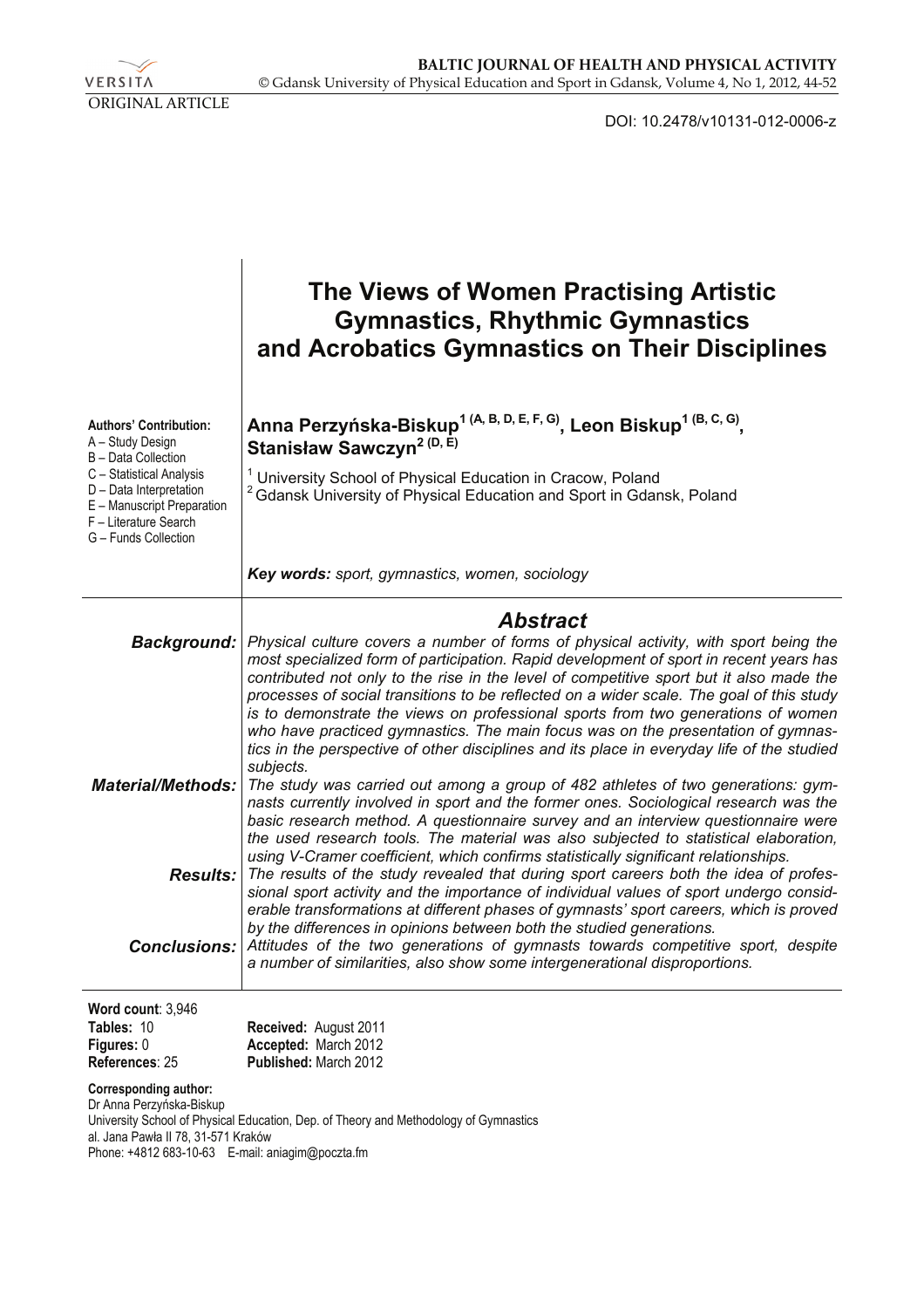VERSITA ORIGINAL ARTICLE

DOI: 10.2478/v10131-012-0006-z

|                                                                                                                                    | The Views of Women Practising Artistic<br><b>Gymnastics, Rhythmic Gymnastics</b><br>and Acrobatics Gymnastics on Their Disciplines                                                                                                                                                                                                                                                                                                                                                                                                                                                                                                                       |
|------------------------------------------------------------------------------------------------------------------------------------|----------------------------------------------------------------------------------------------------------------------------------------------------------------------------------------------------------------------------------------------------------------------------------------------------------------------------------------------------------------------------------------------------------------------------------------------------------------------------------------------------------------------------------------------------------------------------------------------------------------------------------------------------------|
| <b>Authors' Contribution:</b><br>A - Study Design<br>B - Data Collection                                                           | Anna Perzyńska-Biskup <sup>1 (A, B, D, E, F, G)</sup> , Leon Biskup <sup>1 (B, C, G)</sup> ,<br>Stanisław Sawczyn <sup>2 (D, E)</sup>                                                                                                                                                                                                                                                                                                                                                                                                                                                                                                                    |
| C - Statistical Analysis<br>D - Data Interpretation<br>E - Manuscript Preparation<br>F - Literature Search<br>G - Funds Collection | <sup>1</sup> University School of Physical Education in Cracow, Poland<br><sup>2</sup> Gdansk University of Physical Education and Sport in Gdansk, Poland                                                                                                                                                                                                                                                                                                                                                                                                                                                                                               |
|                                                                                                                                    | Key words: sport, gymnastics, women, sociology                                                                                                                                                                                                                                                                                                                                                                                                                                                                                                                                                                                                           |
|                                                                                                                                    | <b>Abstract</b>                                                                                                                                                                                                                                                                                                                                                                                                                                                                                                                                                                                                                                          |
| <b>Background:</b>                                                                                                                 | Physical culture covers a number of forms of physical activity, with sport being the<br>most specialized form of participation. Rapid development of sport in recent years has<br>contributed not only to the rise in the level of competitive sport but it also made the<br>processes of social transitions to be reflected on a wider scale. The goal of this study<br>is to demonstrate the views on professional sports from two generations of women<br>who have practiced gymnastics. The main focus was on the presentation of gymnas-<br>tics in the perspective of other disciplines and its place in everyday life of the studied<br>subjects. |
| <b>Material/Methods:</b>                                                                                                           | The study was carried out among a group of 482 athletes of two generations: gym-<br>nasts currently involved in sport and the former ones. Sociological research was the<br>basic research method. A questionnaire survey and an interview questionnaire were<br>the used research tools. The material was also subjected to statistical elaboration,<br>using V-Cramer coefficient, which confirms statistically significant relationships.                                                                                                                                                                                                             |
| <b>Results:</b>                                                                                                                    | The results of the study revealed that during sport careers both the idea of profes-<br>sional sport activity and the importance of individual values of sport undergo consid-<br>erable transformations at different phases of gymnasts' sport careers, which is proved                                                                                                                                                                                                                                                                                                                                                                                 |
|                                                                                                                                    | by the differences in opinions between both the studied generations.<br><b>Conclusions:</b> Attitudes of the two generations of gymnasts towards competitive sport, despite<br>a number of similarities, also show some intergenerational disproportions.                                                                                                                                                                                                                                                                                                                                                                                                |
| Word count: 3,946                                                                                                                  |                                                                                                                                                                                                                                                                                                                                                                                                                                                                                                                                                                                                                                                          |
| Tables: 10                                                                                                                         | Received: August 2011                                                                                                                                                                                                                                                                                                                                                                                                                                                                                                                                                                                                                                    |
| Figures: 0<br>References: 25                                                                                                       | Accepted: March 2012<br>Published: March 2012                                                                                                                                                                                                                                                                                                                                                                                                                                                                                                                                                                                                            |

**Corresponding author:** 

Dr Anna Perzyńska-Biskup University School of Physical Education, Dep. of Theory and Methodology of Gymnastics al. Jana Pawła II 78, 31-571 Kraków Phone: +4812 683-10-63 E-mail: aniagim@poczta.fm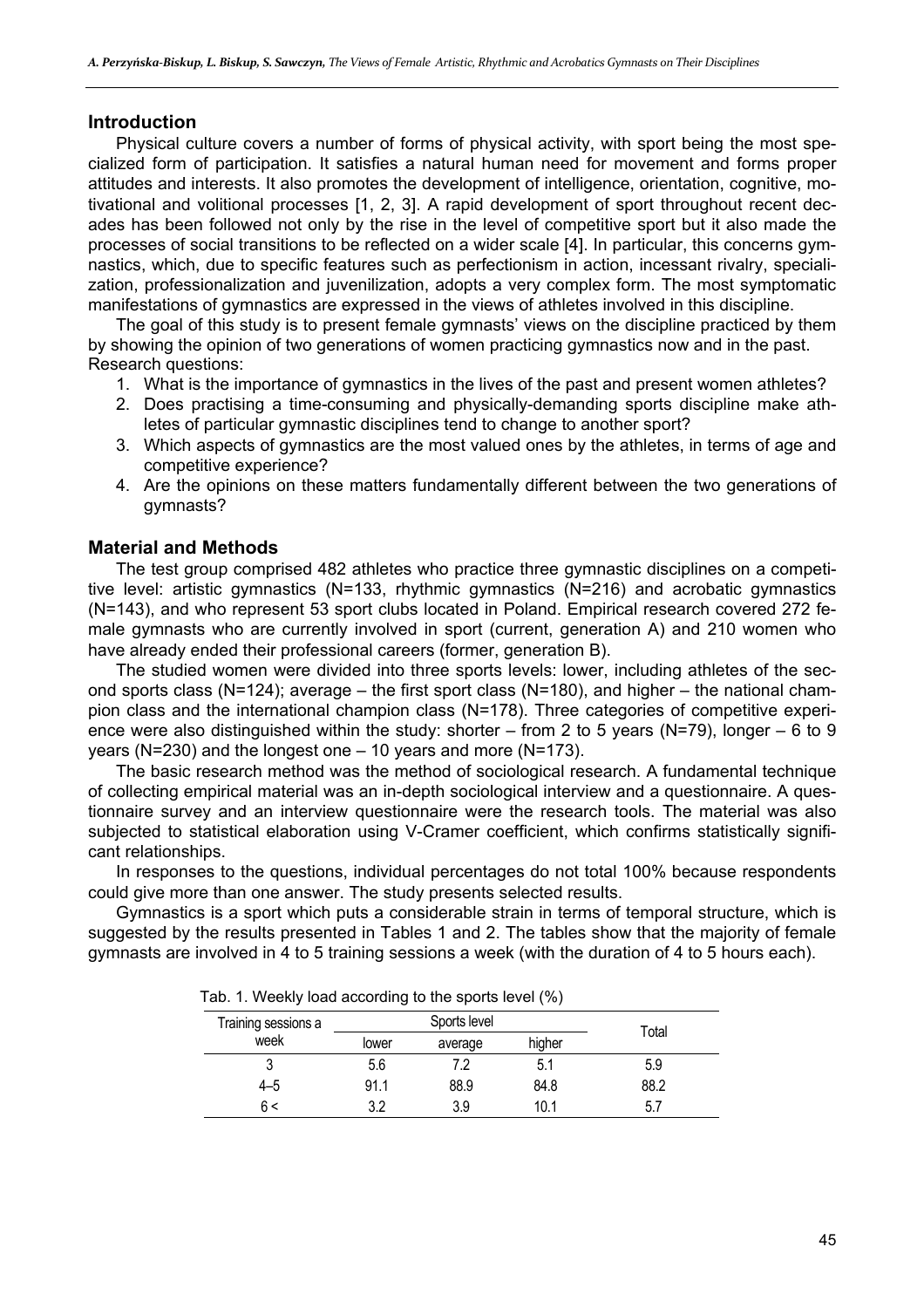#### **Introduction**

Physical culture covers a number of forms of physical activity, with sport being the most specialized form of participation. It satisfies a natural human need for movement and forms proper attitudes and interests. It also promotes the development of intelligence, orientation, cognitive, motivational and volitional processes [1, 2, 3]. A rapid development of sport throughout recent decades has been followed not only by the rise in the level of competitive sport but it also made the processes of social transitions to be reflected on a wider scale [4]. In particular, this concerns gymnastics, which, due to specific features such as perfectionism in action, incessant rivalry, specialization, professionalization and juvenilization, adopts a very complex form. The most symptomatic manifestations of gymnastics are expressed in the views of athletes involved in this discipline.

The goal of this study is to present female gymnasts' views on the discipline practiced by them by showing the opinion of two generations of women practicing gymnastics now and in the past. Research questions:

- 1. What is the importance of gymnastics in the lives of the past and present women athletes?
- 2. Does practising a time-consuming and physically-demanding sports discipline make athletes of particular gymnastic disciplines tend to change to another sport?
- 3. Which aspects of gymnastics are the most valued ones by the athletes, in terms of age and competitive experience?
- 4. Are the opinions on these matters fundamentally different between the two generations of gymnasts?

## **Material and Methods**

The test group comprised 482 athletes who practice three gymnastic disciplines on a competitive level: artistic gymnastics (N=133, rhythmic gymnastics (N=216) and acrobatic gymnastics (N=143), and who represent 53 sport clubs located in Poland. Empirical research covered 272 female gymnasts who are currently involved in sport (current, generation A) and 210 women who have already ended their professional careers (former, generation B).

The studied women were divided into three sports levels: lower, including athletes of the second sports class (N=124); average – the first sport class (N=180), and higher – the national champion class and the international champion class (N=178). Three categories of competitive experience were also distinguished within the study: shorter – from 2 to 5 years (N=79), longer – 6 to 9 years (N=230) and the longest one – 10 years and more (N=173).

The basic research method was the method of sociological research. A fundamental technique of collecting empirical material was an in-depth sociological interview and a questionnaire. A questionnaire survey and an interview questionnaire were the research tools. The material was also subjected to statistical elaboration using V-Cramer coefficient, which confirms statistically significant relationships.

In responses to the questions, individual percentages do not total 100% because respondents could give more than one answer. The study presents selected results.

Gymnastics is a sport which puts a considerable strain in terms of temporal structure, which is suggested by the results presented in Tables 1 and 2. The tables show that the majority of female gymnasts are involved in 4 to 5 training sessions a week (with the duration of 4 to 5 hours each).

|                     | -     |              |        |       |
|---------------------|-------|--------------|--------|-------|
| Training sessions a |       | Sports level |        | Total |
| week                | lower | average      | higher |       |
|                     | 5.6   | 7.2          | 5.1    | 5.9   |
| 4–5                 | 91.1  | 88.9         | 84.8   | 88.2  |
| 6 <                 | າ າ   | 3.9          | 10.1   |       |
|                     |       |              |        |       |

Tab. 1. Weekly load according to the sports level (%)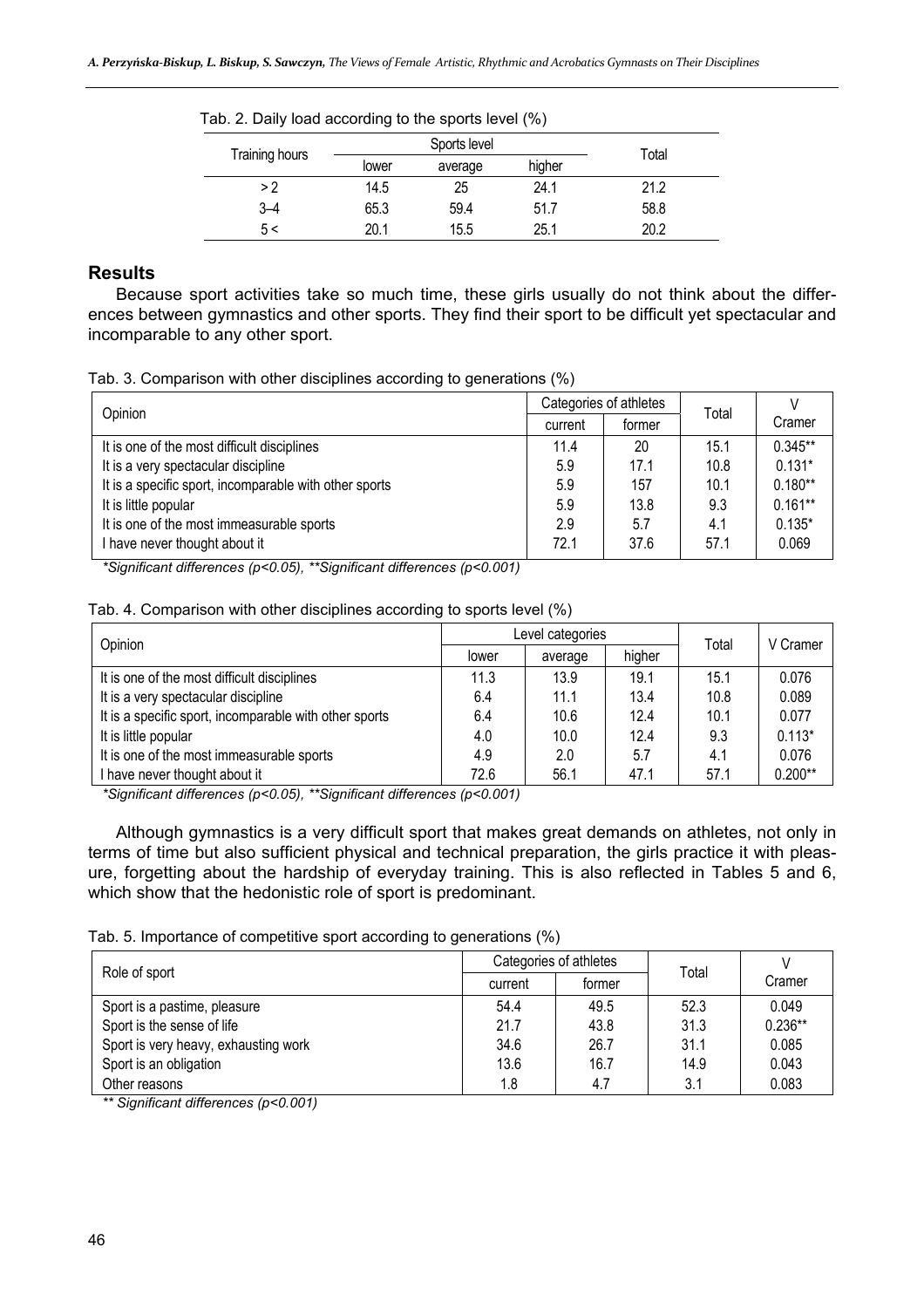| Tab. 2. Daily load according to the sports level (%) |       |         |        |      |  |  |  |  |  |
|------------------------------------------------------|-------|---------|--------|------|--|--|--|--|--|
| Training hours                                       | Total |         |        |      |  |  |  |  |  |
|                                                      | lower | average | higher |      |  |  |  |  |  |
| >2                                                   | 14.5  | 25      | 24.1   | 21.2 |  |  |  |  |  |
| $3 - 4$                                              | 65.3  | 59.4    | 51.7   | 58.8 |  |  |  |  |  |
| 5 <                                                  | 20.1  | 15.5    | 25.1   | 20.2 |  |  |  |  |  |

## **Results**

Because sport activities take so much time, these girls usually do not think about the differences between gymnastics and other sports. They find their sport to be difficult yet spectacular and incomparable to any other sport.

|  |  |  | Tab. 3. Comparison with other disciplines according to generations (%) |  |
|--|--|--|------------------------------------------------------------------------|--|
|  |  |  |                                                                        |  |

| Opinion                                                |         | Categories of athletes |       |           |
|--------------------------------------------------------|---------|------------------------|-------|-----------|
|                                                        | current | former                 | Total | Cramer    |
| It is one of the most difficult disciplines            | 11.4    | 20                     | 15.1  | $0.345**$ |
| It is a very spectacular discipline                    | 5.9     | 17.1                   | 10.8  | $0.131*$  |
| It is a specific sport, incomparable with other sports | 5.9     | 157                    | 10.1  | $0.180**$ |
| It is little popular                                   | 5.9     | 13.8                   | 9.3   | $0.161**$ |
| It is one of the most immeasurable sports              | 2.9     | 5.7                    | 4.1   | $0.135*$  |
| I have never thought about it                          | 72.1    | 37.6                   | 57.1  | 0.069     |

*\*Significant differences (p<0.05), \*\*Significant differences (p<0.001)* 

Tab. 4. Comparison with other disciplines according to sports level (%)

| Opinion                                                |       | Level categories | Total  | V Cramer |           |
|--------------------------------------------------------|-------|------------------|--------|----------|-----------|
|                                                        | lower | average          | higher |          |           |
| It is one of the most difficult disciplines            | 11.3  | 13.9             | 19.1   | 15.1     | 0.076     |
| It is a very spectacular discipline                    | 6.4   | 11.1             | 13.4   | 10.8     | 0.089     |
| It is a specific sport, incomparable with other sports | 6.4   | 10.6             | 12.4   | 10.1     | 0.077     |
| It is little popular                                   | 4.0   | 10.0             | 12.4   | 9.3      | $0.113*$  |
| It is one of the most immeasurable sports              | 4.9   | 2.0              | 5.7    | 4.1      | 0.076     |
| I have never thought about it                          | 72.6  | 56.1             | 47.1   | 57.1     | $0.200**$ |

*\*Significant differences (p<0.05), \*\*Significant differences (p<0.001)* 

Although gymnastics is a very difficult sport that makes great demands on athletes, not only in terms of time but also sufficient physical and technical preparation, the girls practice it with pleasure, forgetting about the hardship of everyday training. This is also reflected in Tables 5 and 6, which show that the hedonistic role of sport is predominant.

Tab. 5. Importance of competitive sport according to generations (%)

| Role of sport                        |         | Categories of athletes | Total |           |
|--------------------------------------|---------|------------------------|-------|-----------|
|                                      | current | former                 |       | Cramer    |
| Sport is a pastime, pleasure         | 54.4    | 49.5                   | 52.3  | 0.049     |
| Sport is the sense of life           | 21.7    | 43.8                   | 31.3  | $0.236**$ |
| Sport is very heavy, exhausting work | 34.6    | 26.7                   | 31.1  | 0.085     |
| Sport is an obligation               | 13.6    | 16.7                   | 14.9  | 0.043     |
| Other reasons                        | 1.8     | 4.7                    | 3.1   | 0.083     |

*\*\* Significant differences (p<0.001)*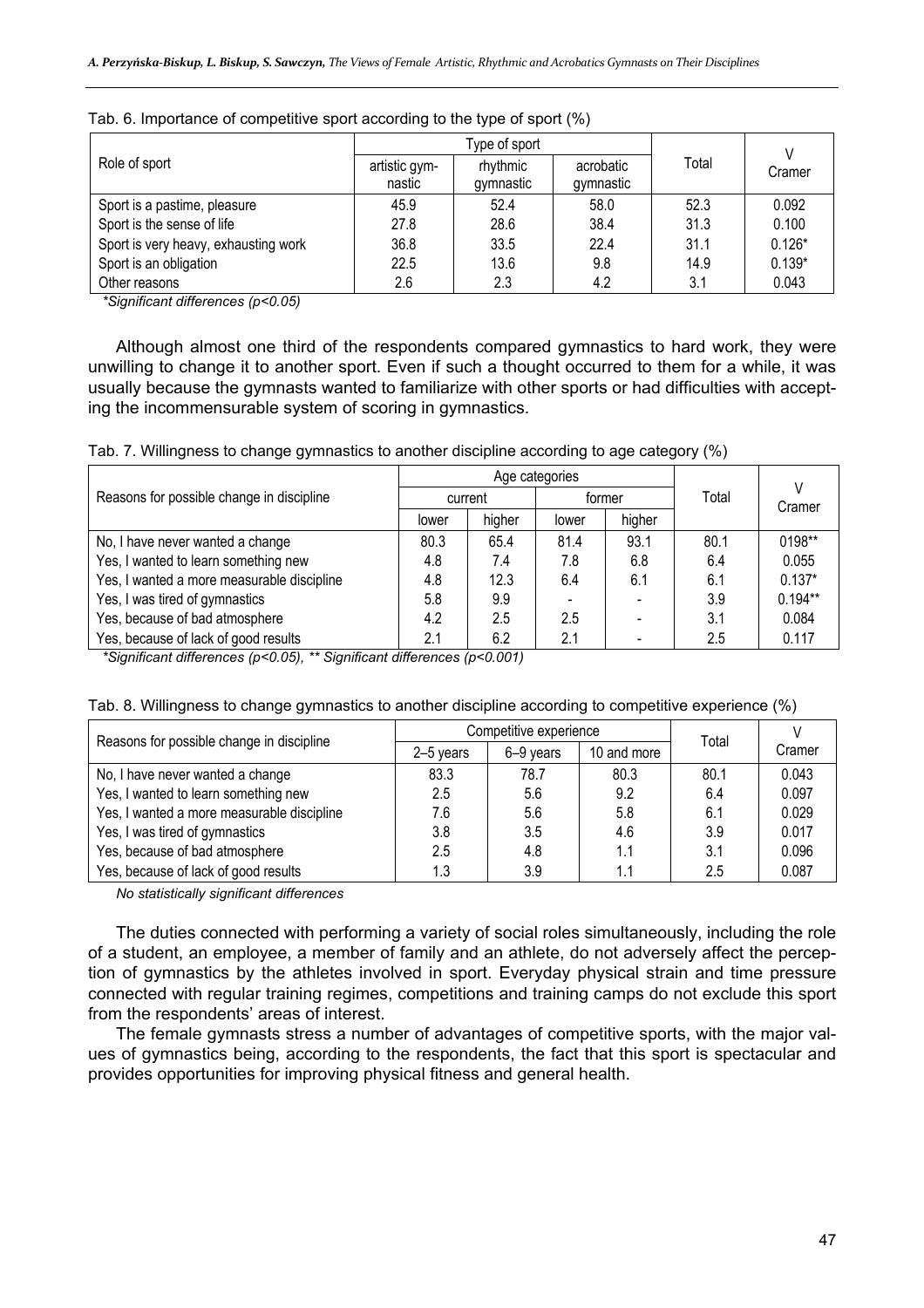|                                      |                         | Type of sport         |                        |       |          |
|--------------------------------------|-------------------------|-----------------------|------------------------|-------|----------|
| Role of sport                        | artistic gym-<br>nastic | rhythmic<br>gymnastic | acrobatic<br>gymnastic | Total | Cramer   |
| Sport is a pastime, pleasure         | 45.9                    | 52.4                  | 58.0                   | 52.3  | 0.092    |
| Sport is the sense of life           | 27.8                    | 28.6                  | 38.4                   | 31.3  | 0.100    |
| Sport is very heavy, exhausting work | 36.8                    | 33.5                  | 22.4                   | 31.1  | $0.126*$ |
| Sport is an obligation               | 22.5                    | 13.6                  | 9.8                    | 14.9  | $0.139*$ |
| Other reasons                        | 2.6                     | 2.3                   | 4.2                    | 3.1   | 0.043    |

|  | Tab. 6. Importance of competitive sport according to the type of sport (%) |  |  |  |  |
|--|----------------------------------------------------------------------------|--|--|--|--|
|  |                                                                            |  |  |  |  |

*\*Significant differences (p<0.05)* 

Although almost one third of the respondents compared gymnastics to hard work, they were unwilling to change it to another sport. Even if such a thought occurred to them for a while, it was usually because the gymnasts wanted to familiarize with other sports or had difficulties with accepting the incommensurable system of scoring in gymnastics.

Tab. 7. Willingness to change gymnastics to another discipline according to age category (%)

|                                            |         | Age categories |        |        |       |           |
|--------------------------------------------|---------|----------------|--------|--------|-------|-----------|
| Reasons for possible change in discipline  | current |                | tormer |        | Total | Cramer    |
|                                            | lower   | higher         | lower  | higher |       |           |
| No, I have never wanted a change           | 80.3    | 65.4           | 81.4   | 93.1   | 80.1  | $0198**$  |
| Yes, I wanted to learn something new       | 4.8     | 7.4            | 7.8    | 6.8    | 6.4   | 0.055     |
| Yes, I wanted a more measurable discipline | 4.8     | 12.3           | 6.4    | 6.1    | 6.1   | $0.137*$  |
| Yes, I was tired of gymnastics             | 5.8     | 9.9            |        |        | 3.9   | $0.194**$ |
| Yes, because of bad atmosphere             | 4.2     | 2.5            | 2.5    |        | 3.1   | 0.084     |
| Yes, because of lack of good results       | 2.1     | 6.2            | 2.1    |        | 2.5   | 0.117     |

*\*Significant differences (p<0.05), \*\* Significant differences (p<0.001)* 

| Reasons for possible change in discipline  |           | Competitive experience | Total       |      |        |
|--------------------------------------------|-----------|------------------------|-------------|------|--------|
|                                            | 2-5 years | 6-9 years              | 10 and more |      | Cramer |
| No, I have never wanted a change           | 83.3      | 78.7                   | 80.3        | 80.1 | 0.043  |
| Yes, I wanted to learn something new       | 2.5       | 5.6                    | 9.2         | 6.4  | 0.097  |
| Yes, I wanted a more measurable discipline | 7.6       | 5.6                    | 5.8         | 6.1  | 0.029  |
| Yes, I was tired of gymnastics             | 3.8       | 3.5                    | 4.6         | 3.9  | 0.017  |
| Yes, because of bad atmosphere             | 2.5       | 4.8                    | 1.1         | 3.1  | 0.096  |
| Yes, because of lack of good results       | 1.3       | 3.9                    | 1.1         | 2.5  | 0.087  |

#### Tab. 8. Willingness to change gymnastics to another discipline according to competitive experience (%)

*No statistically significant differences* 

The duties connected with performing a variety of social roles simultaneously, including the role of a student, an employee, a member of family and an athlete, do not adversely affect the perception of gymnastics by the athletes involved in sport. Everyday physical strain and time pressure connected with regular training regimes, competitions and training camps do not exclude this sport from the respondents' areas of interest.

The female gymnasts stress a number of advantages of competitive sports, with the major values of gymnastics being, according to the respondents, the fact that this sport is spectacular and provides opportunities for improving physical fitness and general health.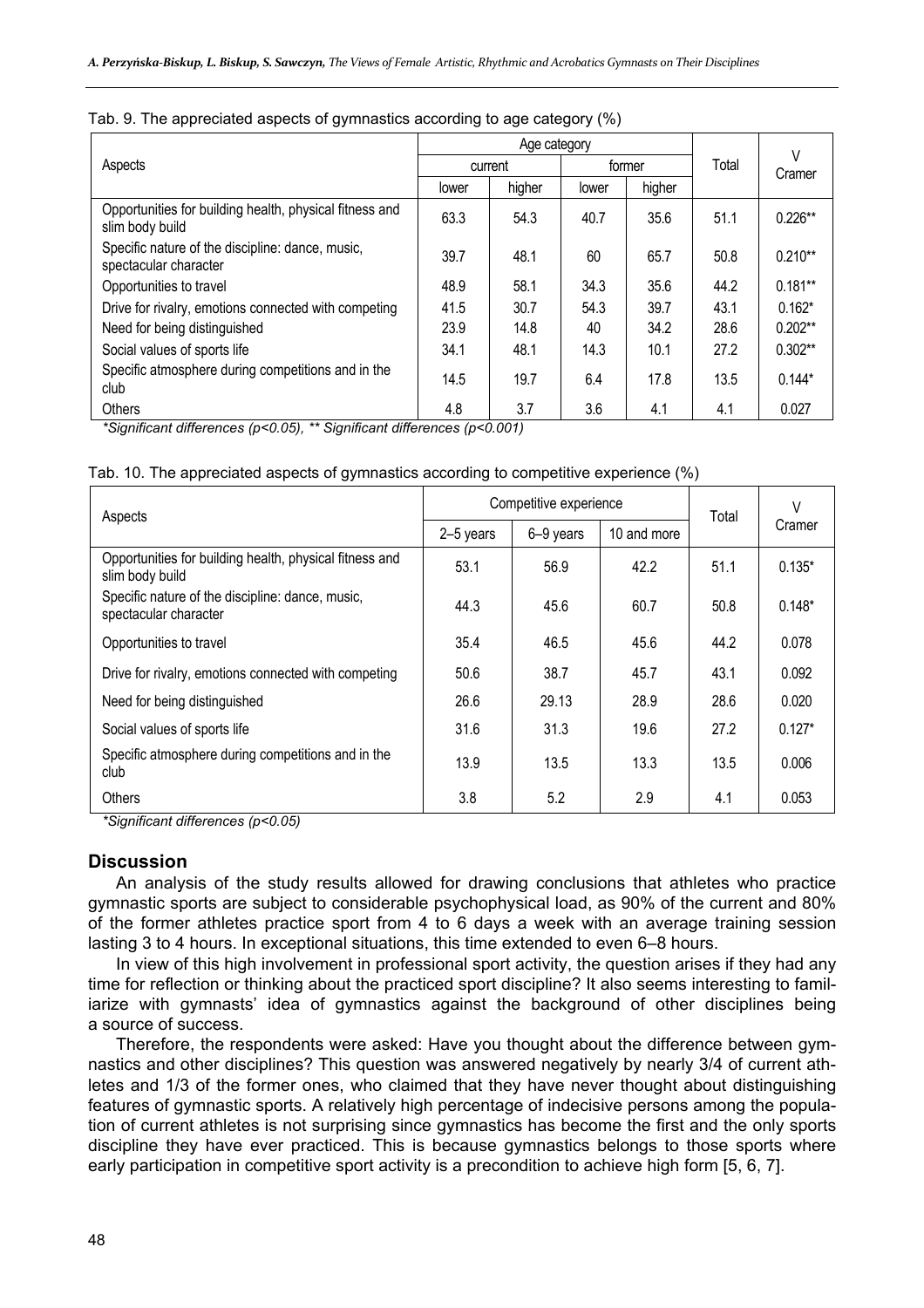|                                                                            |       | Age category |       |        |       |             |
|----------------------------------------------------------------------------|-------|--------------|-------|--------|-------|-------------|
| Aspects                                                                    |       | current      |       | former | Total | V<br>Cramer |
|                                                                            | lower | higher       | lower | higher |       |             |
| Opportunities for building health, physical fitness and<br>slim body build | 63.3  | 54.3         | 40.7  | 35.6   | 51.1  | $0.226**$   |
| Specific nature of the discipline: dance, music,<br>spectacular character  | 39.7  | 48.1         | 60    | 65.7   | 50.8  | $0.210**$   |
| Opportunities to travel                                                    | 48.9  | 58.1         | 34.3  | 35.6   | 44.2  | $0.181**$   |
| Drive for rivalry, emotions connected with competing                       | 41.5  | 30.7         | 54.3  | 39.7   | 43.1  | $0.162*$    |
| Need for being distinguished                                               | 23.9  | 14.8         | 40    | 34.2   | 28.6  | $0.202**$   |
| Social values of sports life                                               | 34.1  | 48.1         | 14.3  | 10.1   | 27.2  | $0.302**$   |
| Specific atmosphere during competitions and in the<br>club                 | 14.5  | 19.7         | 6.4   | 17.8   | 13.5  | $0.144*$    |
| Others                                                                     | 4.8   | 3.7          | 3.6   | 4.1    | 4.1   | 0.027       |

#### Tab. 9. The appreciated aspects of gymnastics according to age category (%)

*\*Significant differences (p<0.05), \*\* Significant differences (p<0.001)* 

|  | Tab. 10. The appreciated aspects of gymnastics according to competitive experience (%) |  |  |  |  |
|--|----------------------------------------------------------------------------------------|--|--|--|--|
|  |                                                                                        |  |  |  |  |

| Aspects                                                                    |           | Competitive experience | Total       | $\vee$ |          |  |
|----------------------------------------------------------------------------|-----------|------------------------|-------------|--------|----------|--|
|                                                                            | 2-5 years | 6-9 years              | 10 and more |        | Cramer   |  |
| Opportunities for building health, physical fitness and<br>slim body build | 53.1      | 56.9                   | 42.2        | 51.1   | $0.135*$ |  |
| Specific nature of the discipline: dance, music,<br>spectacular character  | 44.3      | 45.6                   | 60.7        | 50.8   | $0.148*$ |  |
| Opportunities to travel                                                    | 35.4      | 46.5                   | 45.6        | 44.2   | 0.078    |  |
| Drive for rivalry, emotions connected with competing                       | 50.6      | 38.7                   | 45.7        | 43.1   | 0.092    |  |
| Need for being distinguished                                               | 26.6      | 29.13                  | 28.9        | 28.6   | 0.020    |  |
| Social values of sports life                                               | 31.6      | 31.3                   | 19.6        | 27.2   | $0.127*$ |  |
| Specific atmosphere during competitions and in the<br>club                 | 13.9      | 13.5                   | 13.3        | 13.5   | 0.006    |  |
| Others                                                                     | 3.8       | 5.2                    | 2.9         | 4.1    | 0.053    |  |

*\*Significant differences (p<0.05)* 

## **Discussion**

An analysis of the study results allowed for drawing conclusions that athletes who practice gymnastic sports are subject to considerable psychophysical load, as 90% of the current and 80% of the former athletes practice sport from 4 to 6 days a week with an average training session lasting 3 to 4 hours. In exceptional situations, this time extended to even 6–8 hours.

In view of this high involvement in professional sport activity, the question arises if they had any time for reflection or thinking about the practiced sport discipline? It also seems interesting to familiarize with gymnasts' idea of gymnastics against the background of other disciplines being a source of success.

Therefore, the respondents were asked: Have you thought about the difference between gymnastics and other disciplines? This question was answered negatively by nearly 3/4 of current athletes and 1/3 of the former ones, who claimed that they have never thought about distinguishing features of gymnastic sports. A relatively high percentage of indecisive persons among the population of current athletes is not surprising since gymnastics has become the first and the only sports discipline they have ever practiced. This is because gymnastics belongs to those sports where early participation in competitive sport activity is a precondition to achieve high form [5, 6, 7].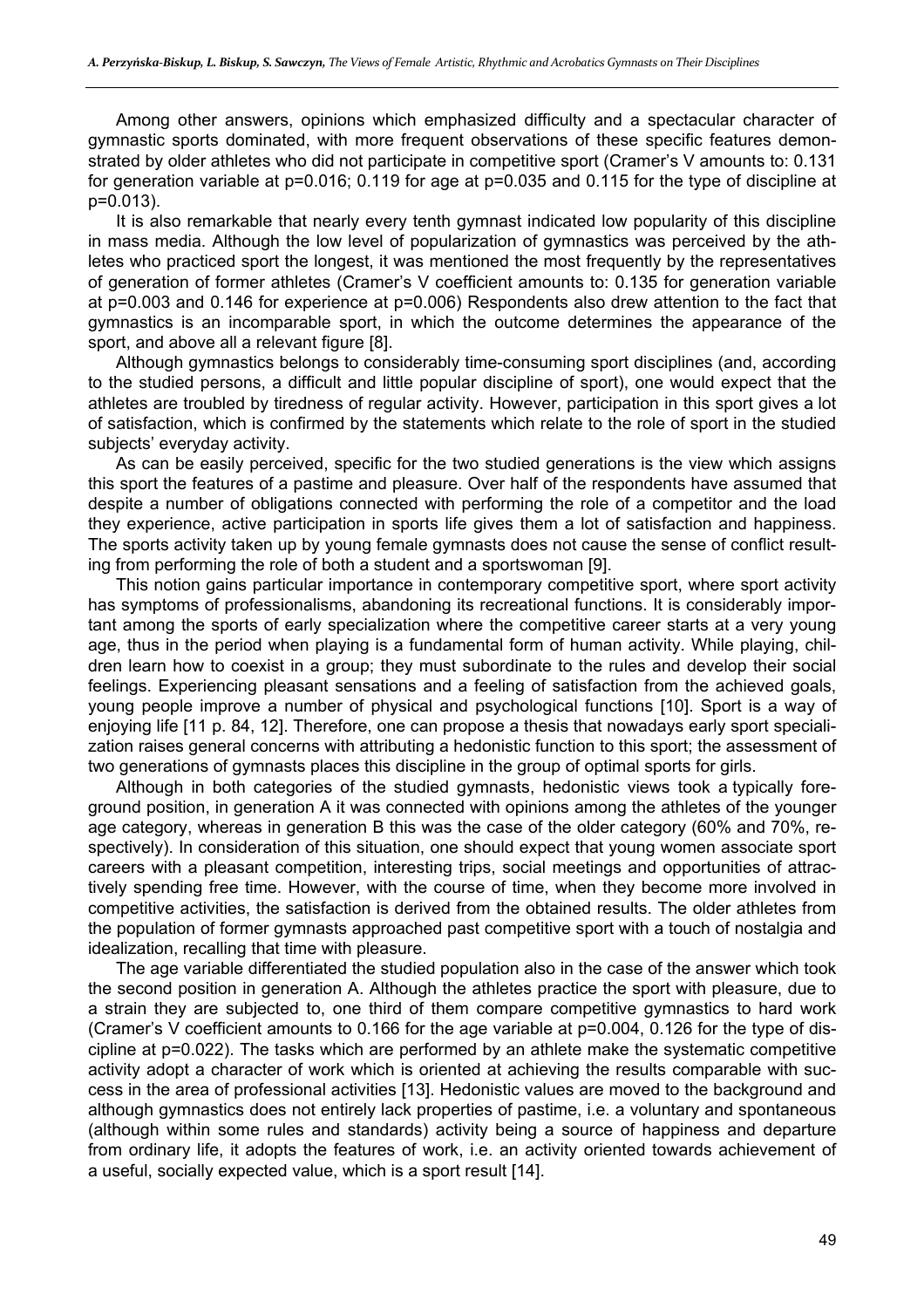Among other answers, opinions which emphasized difficulty and a spectacular character of gymnastic sports dominated, with more frequent observations of these specific features demonstrated by older athletes who did not participate in competitive sport (Cramer's V amounts to: 0.131 for generation variable at  $p=0.016$ ; 0.119 for age at  $p=0.035$  and 0.115 for the type of discipline at p=0.013).

It is also remarkable that nearly every tenth gymnast indicated low popularity of this discipline in mass media. Although the low level of popularization of gymnastics was perceived by the athletes who practiced sport the longest, it was mentioned the most frequently by the representatives of generation of former athletes (Cramer's V coefficient amounts to: 0.135 for generation variable at p=0.003 and 0.146 for experience at p=0.006) Respondents also drew attention to the fact that gymnastics is an incomparable sport, in which the outcome determines the appearance of the sport, and above all a relevant figure [8].

Although gymnastics belongs to considerably time-consuming sport disciplines (and, according to the studied persons, a difficult and little popular discipline of sport), one would expect that the athletes are troubled by tiredness of regular activity. However, participation in this sport gives a lot of satisfaction, which is confirmed by the statements which relate to the role of sport in the studied subjects' everyday activity.

As can be easily perceived, specific for the two studied generations is the view which assigns this sport the features of a pastime and pleasure. Over half of the respondents have assumed that despite a number of obligations connected with performing the role of a competitor and the load they experience, active participation in sports life gives them a lot of satisfaction and happiness. The sports activity taken up by young female gymnasts does not cause the sense of conflict resulting from performing the role of both a student and a sportswoman [9].

This notion gains particular importance in contemporary competitive sport, where sport activity has symptoms of professionalisms, abandoning its recreational functions. It is considerably important among the sports of early specialization where the competitive career starts at a very young age, thus in the period when playing is a fundamental form of human activity. While playing, children learn how to coexist in a group; they must subordinate to the rules and develop their social feelings. Experiencing pleasant sensations and a feeling of satisfaction from the achieved goals, young people improve a number of physical and psychological functions [10]. Sport is a way of enjoying life [11 p. 84, 12]. Therefore, one can propose a thesis that nowadays early sport specialization raises general concerns with attributing a hedonistic function to this sport; the assessment of two generations of gymnasts places this discipline in the group of optimal sports for girls.

Although in both categories of the studied gymnasts, hedonistic views took a typically foreground position, in generation A it was connected with opinions among the athletes of the younger age category, whereas in generation B this was the case of the older category (60% and 70%, respectively). In consideration of this situation, one should expect that young women associate sport careers with a pleasant competition, interesting trips, social meetings and opportunities of attractively spending free time. However, with the course of time, when they become more involved in competitive activities, the satisfaction is derived from the obtained results. The older athletes from the population of former gymnasts approached past competitive sport with a touch of nostalgia and idealization, recalling that time with pleasure.

The age variable differentiated the studied population also in the case of the answer which took the second position in generation A. Although the athletes practice the sport with pleasure, due to a strain they are subjected to, one third of them compare competitive gymnastics to hard work (Cramer's V coefficient amounts to 0.166 for the age variable at p=0.004, 0.126 for the type of discipline at p=0.022). The tasks which are performed by an athlete make the systematic competitive activity adopt a character of work which is oriented at achieving the results comparable with success in the area of professional activities [13]. Hedonistic values are moved to the background and although gymnastics does not entirely lack properties of pastime, i.e. a voluntary and spontaneous (although within some rules and standards) activity being a source of happiness and departure from ordinary life, it adopts the features of work, i.e. an activity oriented towards achievement of a useful, socially expected value, which is a sport result [14].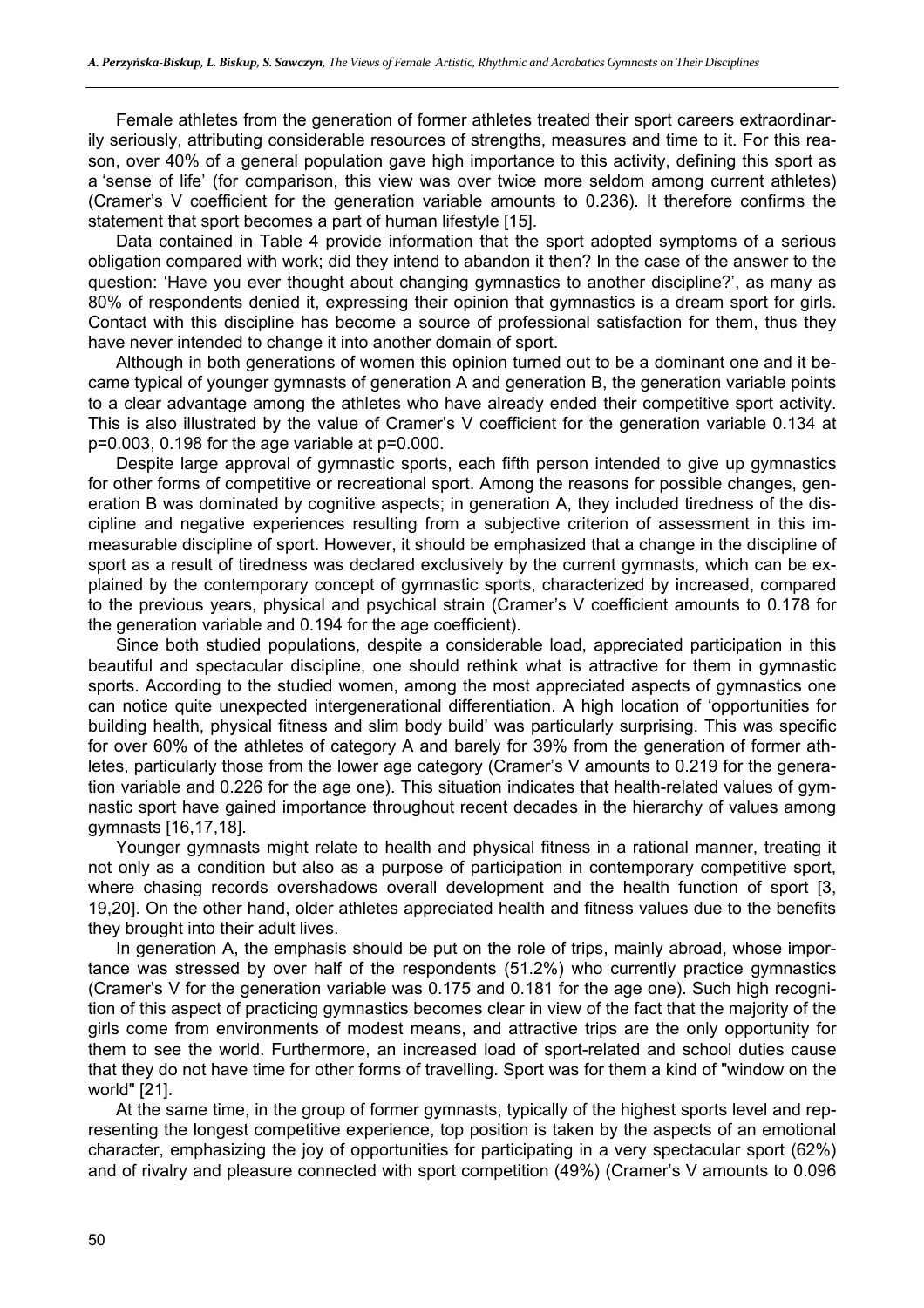Female athletes from the generation of former athletes treated their sport careers extraordinarily seriously, attributing considerable resources of strengths, measures and time to it. For this reason, over 40% of a general population gave high importance to this activity, defining this sport as a 'sense of life' (for comparison, this view was over twice more seldom among current athletes) (Cramer's V coefficient for the generation variable amounts to 0.236). It therefore confirms the statement that sport becomes a part of human lifestyle [15].

Data contained in Table 4 provide information that the sport adopted symptoms of a serious obligation compared with work; did they intend to abandon it then? In the case of the answer to the question: 'Have you ever thought about changing gymnastics to another discipline?', as many as 80% of respondents denied it, expressing their opinion that gymnastics is a dream sport for girls. Contact with this discipline has become a source of professional satisfaction for them, thus they have never intended to change it into another domain of sport.

Although in both generations of women this opinion turned out to be a dominant one and it became typical of younger gymnasts of generation A and generation B, the generation variable points to a clear advantage among the athletes who have already ended their competitive sport activity. This is also illustrated by the value of Cramer's V coefficient for the generation variable 0.134 at p=0.003, 0.198 for the age variable at p=0.000.

Despite large approval of gymnastic sports, each fifth person intended to give up gymnastics for other forms of competitive or recreational sport. Among the reasons for possible changes, generation B was dominated by cognitive aspects; in generation A, they included tiredness of the discipline and negative experiences resulting from a subjective criterion of assessment in this immeasurable discipline of sport. However, it should be emphasized that a change in the discipline of sport as a result of tiredness was declared exclusively by the current gymnasts, which can be explained by the contemporary concept of gymnastic sports, characterized by increased, compared to the previous years, physical and psychical strain (Cramer's V coefficient amounts to 0.178 for the generation variable and 0.194 for the age coefficient).

Since both studied populations, despite a considerable load, appreciated participation in this beautiful and spectacular discipline, one should rethink what is attractive for them in gymnastic sports. According to the studied women, among the most appreciated aspects of gymnastics one can notice quite unexpected intergenerational differentiation. A high location of 'opportunities for building health, physical fitness and slim body build' was particularly surprising. This was specific for over 60% of the athletes of category A and barely for 39% from the generation of former athletes, particularly those from the lower age category (Cramer's V amounts to 0.219 for the generation variable and 0.226 for the age one). This situation indicates that health-related values of gymnastic sport have gained importance throughout recent decades in the hierarchy of values among gymnasts [16,17,18].

Younger gymnasts might relate to health and physical fitness in a rational manner, treating it not only as a condition but also as a purpose of participation in contemporary competitive sport, where chasing records overshadows overall development and the health function of sport [3, 19,20]. On the other hand, older athletes appreciated health and fitness values due to the benefits they brought into their adult lives.

In generation A, the emphasis should be put on the role of trips, mainly abroad, whose importance was stressed by over half of the respondents (51.2%) who currently practice gymnastics (Cramer's V for the generation variable was 0.175 and 0.181 for the age one). Such high recognition of this aspect of practicing gymnastics becomes clear in view of the fact that the majority of the girls come from environments of modest means, and attractive trips are the only opportunity for them to see the world. Furthermore, an increased load of sport-related and school duties cause that they do not have time for other forms of travelling. Sport was for them a kind of "window on the world" [21].

At the same time, in the group of former gymnasts, typically of the highest sports level and representing the longest competitive experience, top position is taken by the aspects of an emotional character, emphasizing the joy of opportunities for participating in a very spectacular sport (62%) and of rivalry and pleasure connected with sport competition (49%) (Cramer's V amounts to 0.096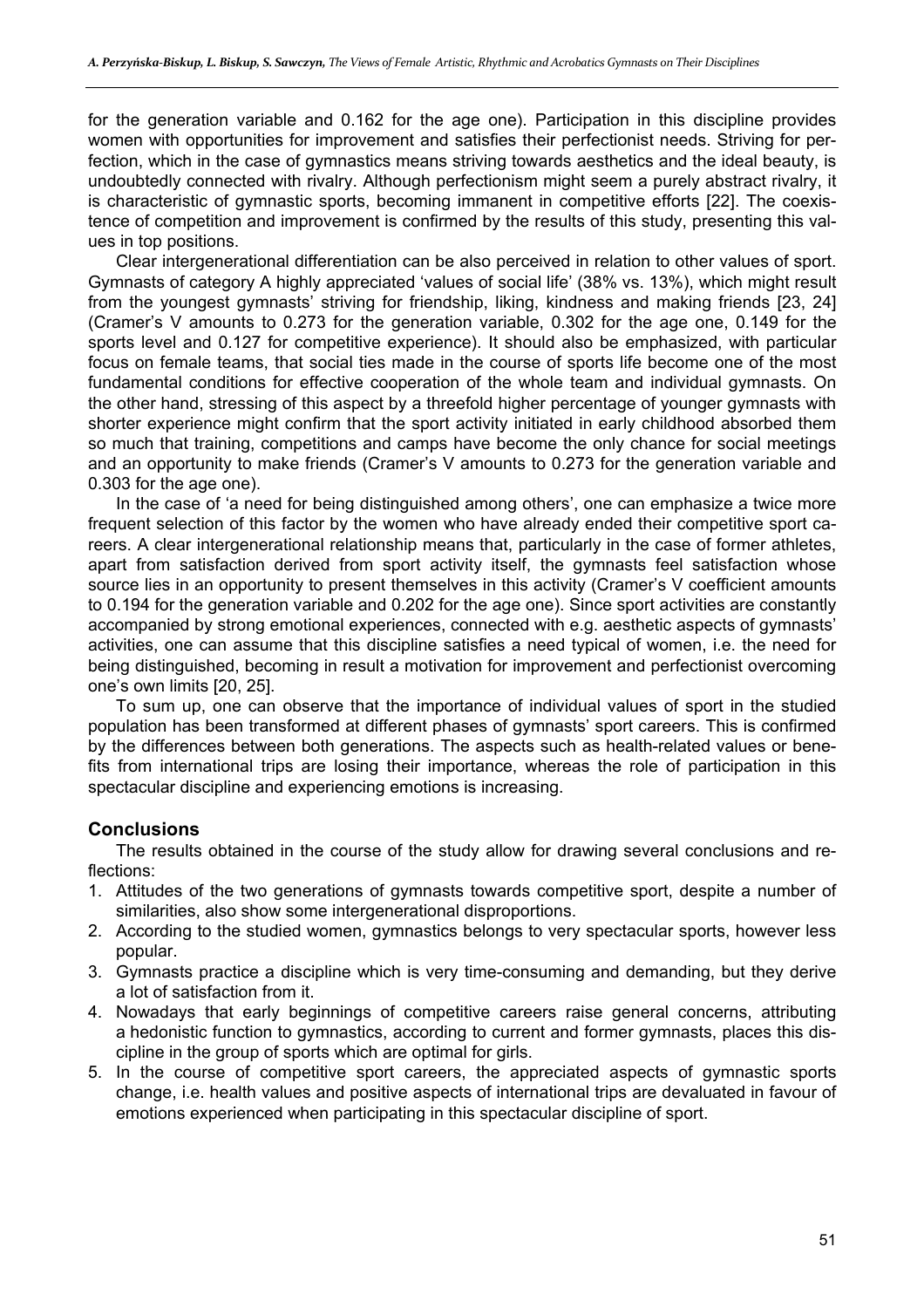for the generation variable and 0.162 for the age one). Participation in this discipline provides women with opportunities for improvement and satisfies their perfectionist needs. Striving for perfection, which in the case of gymnastics means striving towards aesthetics and the ideal beauty, is undoubtedly connected with rivalry. Although perfectionism might seem a purely abstract rivalry, it is characteristic of gymnastic sports, becoming immanent in competitive efforts [22]. The coexistence of competition and improvement is confirmed by the results of this study, presenting this values in top positions.

Clear intergenerational differentiation can be also perceived in relation to other values of sport. Gymnasts of category A highly appreciated 'values of social life' (38% vs. 13%), which might result from the youngest gymnasts' striving for friendship, liking, kindness and making friends [23, 24] (Cramer's V amounts to 0.273 for the generation variable, 0.302 for the age one, 0.149 for the sports level and 0.127 for competitive experience). It should also be emphasized, with particular focus on female teams, that social ties made in the course of sports life become one of the most fundamental conditions for effective cooperation of the whole team and individual gymnasts. On the other hand, stressing of this aspect by a threefold higher percentage of younger gymnasts with shorter experience might confirm that the sport activity initiated in early childhood absorbed them so much that training, competitions and camps have become the only chance for social meetings and an opportunity to make friends (Cramer's V amounts to 0.273 for the generation variable and 0.303 for the age one).

In the case of 'a need for being distinguished among others', one can emphasize a twice more frequent selection of this factor by the women who have already ended their competitive sport careers. A clear intergenerational relationship means that, particularly in the case of former athletes, apart from satisfaction derived from sport activity itself, the gymnasts feel satisfaction whose source lies in an opportunity to present themselves in this activity (Cramer's V coefficient amounts to 0.194 for the generation variable and 0.202 for the age one). Since sport activities are constantly accompanied by strong emotional experiences, connected with e.g. aesthetic aspects of gymnasts' activities, one can assume that this discipline satisfies a need typical of women, i.e. the need for being distinguished, becoming in result a motivation for improvement and perfectionist overcoming one's own limits [20, 25].

To sum up, one can observe that the importance of individual values of sport in the studied population has been transformed at different phases of gymnasts' sport careers. This is confirmed by the differences between both generations. The aspects such as health-related values or benefits from international trips are losing their importance, whereas the role of participation in this spectacular discipline and experiencing emotions is increasing.

## **Conclusions**

The results obtained in the course of the study allow for drawing several conclusions and reflections:

- 1. Attitudes of the two generations of gymnasts towards competitive sport, despite a number of similarities, also show some intergenerational disproportions.
- 2. According to the studied women, gymnastics belongs to very spectacular sports, however less popular.
- 3. Gymnasts practice a discipline which is very time-consuming and demanding, but they derive a lot of satisfaction from it.
- 4. Nowadays that early beginnings of competitive careers raise general concerns, attributing a hedonistic function to gymnastics, according to current and former gymnasts, places this discipline in the group of sports which are optimal for girls.
- 5. In the course of competitive sport careers, the appreciated aspects of gymnastic sports change, i.e. health values and positive aspects of international trips are devaluated in favour of emotions experienced when participating in this spectacular discipline of sport.